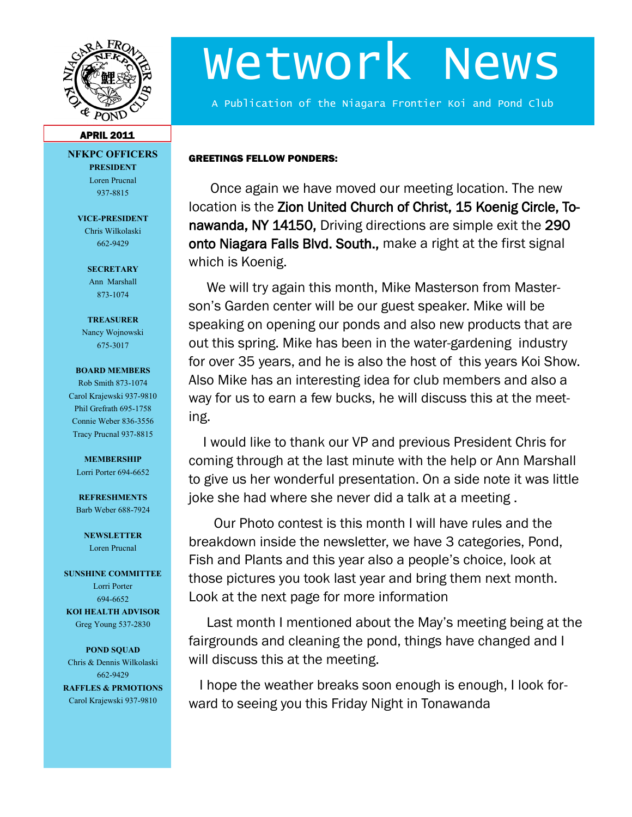

# Wetwork News

A Publication of the Niagara Frontier Koi and Pond Club

#### APRIL 2011

**NFKPC OFFICERS PRESIDENT** Loren Prucnal

937-8815

**VICE-PRESIDENT** Chris Wilkolaski 662-9429

#### **SECRETARY** Ann Marshall 873-1074

**TREASURER**

Nancy Wojnowski 675-3017

#### **BOARD MEMBERS**

Rob Smith 873-1074 Carol Krajewski 937-9810 Phil Grefrath 695-1758 Connie Weber 836-3556 Tracy Prucnal 937-8815

**MEMBERSHIP** Lorri Porter 694-6652

**REFRESHMENTS** Barb Weber 688-7924

**NEWSLETTER** Loren Prucnal

#### **SUNSHINE COMMITTEE**

Lorri Porter 694-6652 **KOI HEALTH ADVISOR** Greg Young 537-2830

**POND SQUAD** Chris & Dennis Wilkolaski 662-9429 **RAFFLES & PRMOTIONS** Carol Krajewski 937-9810

GREETINGS FELLOW PONDERS:

 Once again we have moved our meeting location. The new location is the Zion United Church of Christ, 15 Koenig Circle, Tonawanda, NY 14150, Driving directions are simple exit the 290 onto Niagara Falls Blvd. South., make a right at the first signal which is Koenig.

 We will try again this month, Mike Masterson from Masterson's Garden center will be our guest speaker. Mike will be speaking on opening our ponds and also new products that are out this spring. Mike has been in the water-gardening industry for over 35 years, and he is also the host of this years Koi Show. Also Mike has an interesting idea for club members and also a way for us to earn a few bucks, he will discuss this at the meeting.

 I would like to thank our VP and previous President Chris for coming through at the last minute with the help or Ann Marshall to give us her wonderful presentation. On a side note it was little joke she had where she never did a talk at a meeting .

 Our Photo contest is this month I will have rules and the breakdown inside the newsletter, we have 3 categories, Pond, Fish and Plants and this year also a people's choice, look at those pictures you took last year and bring them next month. Look at the next page for more information

 Last month I mentioned about the May's meeting being at the fairgrounds and cleaning the pond, things have changed and I will discuss this at the meeting.

 I hope the weather breaks soon enough is enough, I look forward to seeing you this Friday Night in Tonawanda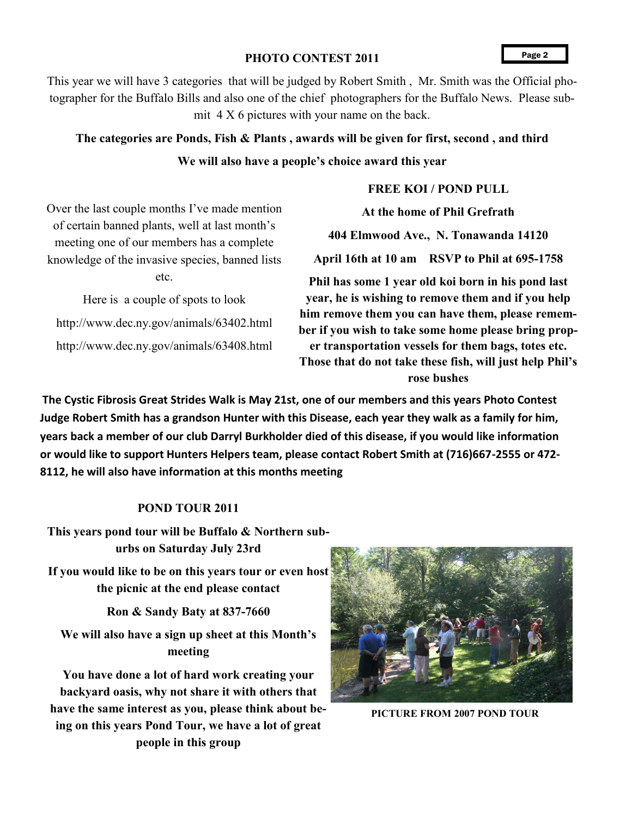#### PHOTO CONTEST 2011

This year we will have 3 categories that will be judged by Robert Smith , Mr. Smith was the Official photographer for the Buffalo Bills and also one of the chief photographers for the Buffalo News. Please submit 4 X 6 pictures with your name on the back.

### **The categories are Ponds, Fish & Plants , awards will be given for first, second , and third**

#### **We will also have a people's choice award this year**

#### **FREE KOI / POND PULL**

Over the last couple months I've made mention of certain banned plants, well at last month's meeting one of our members has a complete knowledge of the invasive species, banned lists etc.

Here is a couple of spots to look http://www.dec.ny.gov/animals/63402.html http://www.dec.ny.gov/animals/63408.html

**At the home of Phil Grefrath**

**404 Elmwood Ave., N. Tonawanda 14120 April 16th at 10 am RSVP to Phil at 695-1758**

**Phil has some 1 year old koi born in his pond last year, he is wishing to remove them and if you help him remove them you can have them, please remember if you wish to take some home please bring proper transportation vessels for them bags, totes etc. Those that do not take these fish, will just help Phil's rose bushes**

**The Cystic Fibrosis Great Strides Walk is May 21st, one of our members and this years Photo Contest Judge Robert Smith has a grandson Hunter with this Disease, each year they walk as a family for him, years back a member of our club Darryl Burkholder died of this disease, if you would like information or would like to support Hunters Helpers team, please contact Robert Smith at (716)667-2555 or 472- 8112, he will also have information at this months meeting**

#### **POND TOUR 2011**

**This years pond tour will be Buffalo & Northern suburbs on Saturday July 23rd**

**If you would like to be on this years tour or even host the picnic at the end please contact** 

**Ron & Sandy Baty at 837-7660**

**We will also have a sign up sheet at this Month's meeting**

**You have done a lot of hard work creating your backyard oasis, why not share it with others that have the same interest as you, please think about being on this years Pond Tour, we have a lot of great people in this group**



**PICTURE FROM 2007 POND TOUR**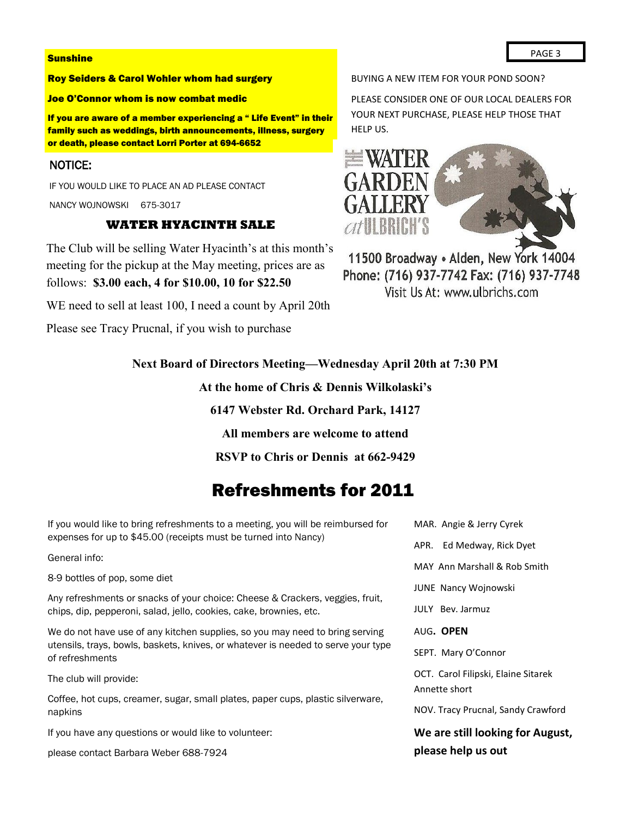#### **Sunshine**

#### Roy Seiders & Carol Wohler whom had surgery

#### Joe O'Connor whom is now combat medic

If you are aware of a member experiencing a " Life Event" in their family such as weddings, birth announcements, illness, surgery or death, please contact Lorri Porter at 694-6652

#### NOTICE:

IF YOU WOULD LIKE TO PLACE AN AD PLEASE CONTACT

NANCY WOJNOWSKI 675-3017

#### **WATER HYACINTH SALE**

The Club will be selling Water Hyacinth's at this month's meeting for the pickup at the May meeting, prices are as follows: **\$3.00 each, 4 for \$10.00, 10 for \$22.50**

WE need to sell at least 100, I need a count by April 20th

Please see Tracy Prucnal, if you wish to purchase

BUYING A NEW ITEM FOR YOUR POND SOON?

PLEASE CONSIDER ONE OF OUR LOCAL DEALERS FOR YOUR NEXT PURCHASE, PLEASE HELP THOSE THAT HELP US.



11500 Broadway · Alden, New York 14004 Phone: (716) 937-7742 Fax: (716) 937-7748 Visit Us At: www.ulbrichs.com

#### **Next Board of Directors Meeting—Wednesday April 20th at 7:30 PM**

**At the home of Chris & Dennis Wilkolaski's**

**6147 Webster Rd. Orchard Park, 14127**

**All members are welcome to attend**

**RSVP to Chris or Dennis at 662-9429**

## Refreshments for 2011

If you would like to bring refreshments to a meeting, you will be reimbursed for expenses for up to \$45.00 (receipts must be turned into Nancy)

General info:

8-9 bottles of pop, some diet

Any refreshments or snacks of your choice: Cheese & Crackers, veggies, fruit, chips, dip, pepperoni, salad, jello, cookies, cake, brownies, etc.

We do not have use of any kitchen supplies, so you may need to bring serving utensils, trays, bowls, baskets, knives, or whatever is needed to serve your type of refreshments

The club will provide:

Coffee, hot cups, creamer, sugar, small plates, paper cups, plastic silverware, napkins

If you have any questions or would like to volunteer:

please contact Barbara Weber 688-7924

MAR. Angie & Jerry Cyrek APR. Ed Medway, Rick Dyet MAY Ann Marshall & Rob Smith JUNE Nancy Wojnowski JULY Bev. Jarmuz AUG**. OPEN** SEPT. Mary O'Connor OCT. Carol Filipski, Elaine Sitarek Annette short NOV. Tracy Prucnal, Sandy Crawford

**We are still looking for August, please help us out**